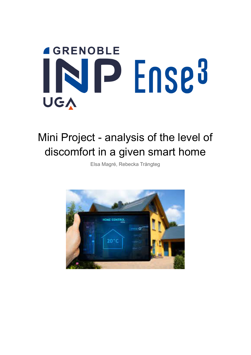# **4 GRENOBLE** INP Ense<sup>3</sup> UGA

## Mini Project - analysis of the level of discomfort in a given smart home

Elsa Magré, Rebecka Trångteg

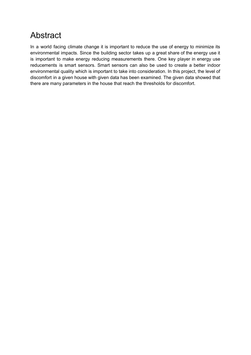## <span id="page-1-0"></span>Abstract

In a world facing climate change it is important to reduce the use of energy to minimize its environmental impacts. Since the building sector takes up a great share of the energy use it is important to make energy reducing measurements there. One key player in energy use reducements is smart sensors. Smart sensors can also be used to create a better indoor environmental quality which is important to take into consideration. In this project, the level of discomfort in a given house with given data has been examined. The given data showed that there are many parameters in the house that reach the thresholds for discomfort.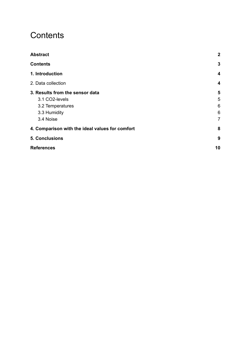## <span id="page-2-0"></span>**Contents**

| <b>Abstract</b>                                 | $\boldsymbol{2}$ |
|-------------------------------------------------|------------------|
| <b>Contents</b>                                 | 3                |
| 1. Introduction                                 | 4                |
| 2. Data collection                              | 4                |
| 3. Results from the sensor data                 | 5                |
| 3.1 CO2-levels                                  | 5                |
| 3.2 Temperatures                                | 6                |
| 3.3 Humidity                                    | 6                |
| 3.4 Noise                                       | $\overline{7}$   |
| 4. Comparison with the ideal values for comfort | 8                |
| <b>5. Conclusions</b>                           | 9                |
| <b>References</b>                               | 10               |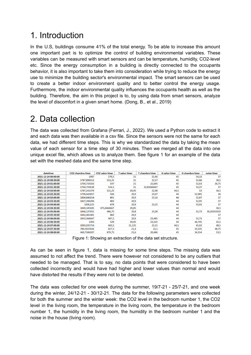## <span id="page-3-0"></span>1. Introduction

In the U.S, buildings consume 41% of the total energy. To be able to increase this amount one important part is to optimize the control of building environmental variables. These variables can be measured with smart sensors and can be temperature, humidity, CO2-level etc. Since the energy consumption in a building is directly connected to the occupants behavior, it is also important to take them into consideration while trying to reduce the energy use to minimize the building sector's environmental impact. The smart sensors can be used to create a better indoor environment quality and to better control the energy usage. Furthermore, the indoor environmental quality influences the occupants health as well as the building. Therefore, the aim in this project is to, by using data from smart sensors, analyze the level of discomfort in a given smart home. (Dong, B., et al., 2019)

## <span id="page-3-1"></span>2. Data collection

The data was collected from Grafana (Ferrari, J., 2022). We used a Python code to extract it and each data was then available in a csv file. Since the sensors were not the same for each data, we had different time steps. This is why we standardized the data by taking the mean value of each sensor for a time step of 30 minutes. Then we merged all the data into one unique excel file, which allows us to analyze them. See figure 1 for an example of the data set with the meshed data and the same time step.

| datetime            | <b>CO2</b> chambre hiver | <b>CO2 salon hiver</b> | <b>T</b> salon hiver | T chambre hiver | <b>H</b> salon hiver | <b>H</b> chambre hiver | noise hiver |
|---------------------|--------------------------|------------------------|----------------------|-----------------|----------------------|------------------------|-------------|
| 2021-12-24 00:00:00 | 1987                     | 570.5                  | 21                   | 22,46           | 45                   | 54,21                  | 37          |
| 2021-12-24 00:30:00 | 1787,896552              | 553,25                 | 21                   | 22,57           | 45                   | 52,66                  | 36,5        |
| 2021-12-24 01:00:00 | 1704.733333              | 547                    | 21                   | 22,695          | 45                   | 52,63                  | 36,75       |
| 2021-12-24 01:30:00 | 1764.724138              | 524.5                  | 21                   | 22.82666667     | 45                   | 53,37                  | 37          |
| 2021-12-24 02:00:00 | 1787.241379              | 521.25                 | 20,95                | 22,98           | 44,5                 | 53                     | 36,5        |
| 2021-12-24 02:30:00 | 1799,642857              | 506                    | 20,9                 | 23,07           | 44                   | 52,985                 | 36          |
| 2021-12-24 03:00:00 | 1804,846154              | 491                    | 20,9                 | 23,16           | 44                   | 52,87                  | 37          |
| 2021-12-24 03:30:00 | 1827,296296              | 483                    | 20,9                 |                 | 44                   | 52,95                  | 37          |
| 2021-12-24 04:00:00 | 1838,125                 | 478                    | 20,9                 | 23,25           | 44                   | 53,01                  | 37          |
| 2021-12-24 04:30:00 | 1849,185185              | 475,6666667            | 20,85                |                 | 44                   |                        | 36,5        |
| 2021-12-24 05:00:00 | 1846,137931              | 486,75                 | 20,8                 | 23,38           | 44                   | 52,73                  | 36,33333333 |
| 2021-12-24 05:30:00 | 1842,481481              | 482                    | 20,9                 |                 | 44                   |                        | 37          |
| 2021-12-24 06:00:00 | 1853,366667              | 487,5                  | 20,9                 | 23,485          | 44                   | 52,71                  | 37          |
| 2021-12-24 06:30:00 | 1393                     | 529                    | 20,95                | 23,235          | 44                   | 46,745                 | 42,5        |
| 2021-12-24 07:00:00 | 1093,035714              | 683,5                  | 21,125               | 23,15           | 44,5                 | 45,92                  | 48,5        |
| 2021-12-24 07:30:00 | 789,5925926              | 827,5                  | 21,4                 | 22,1            | 45                   | 33,535                 | 48,75       |
| 2021-12-24 08:00:00 | 460,7586207              | 879,75                 | 21,6                 | 20,486          | 45                   | 34,554                 | 53,5        |

Figure 1: Showing an extraction of the data set structure.

As can be seen in figure 1, data is missing for some time steps. The missing data was assumed to not affect the trend. There were however not considered to be any outliers that needed to be managed. That is to say, no data points that were considered to have been collected incorrectly and would have had higher and lower values than normal and would have distorted the results if they were not to be deleted.

The data was collected for one week during the summer, 19/7-21 - 25/7-21, and one week during the winter, 24/12-21 - 30/12-21. The data for the following parameters were collected for both the summer and the winter week: the CO2 level in the bedroom number 1, the CO2 level in the living room, the temperature in the living room, the temperature in the bedroom number 1, the humidity in the living room, the humidity in the bedroom number 1 and the noise in the house (living room).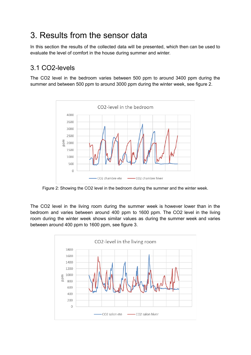## <span id="page-4-0"></span>3. Results from the sensor data

In this section the results of the collected data will be presented, which then can be used to evaluate the level of comfort in the house during summer and winter.

#### <span id="page-4-1"></span>3.1 CO2-levels

The CO2 level in the bedroom varies between 500 ppm to around 3400 ppm during the summer and between 500 ppm to around 3000 ppm during the winter week, see figure 2.



Figure 2: Showing the CO2 level in the bedroom during the summer and the winter week.

The CO2 level in the living room during the summer week is however lower than in the bedroom and varies between around 400 ppm to 1600 ppm. The CO2 level in the living room during the winter week shows similar values as during the summer week and varies between around 400 ppm to 1600 ppm, see figure 3.

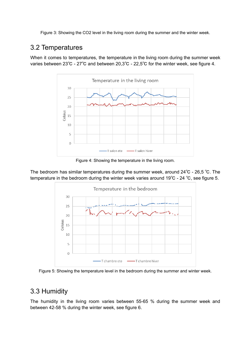Figure 3: Showing the CO2 level in the living room during the summer and the winter week.

#### <span id="page-5-0"></span>3.2 Temperatures

When it comes to temperatures, the temperature in the living room during the summer week varies between 23℃ - 27℃ and between 20,3℃ - 22,5℃ for the winter week, see figure 4.



Figure 4: Showing the temperature in the living room.

The bedroom has similar temperatures during the summer week, around 24℃ - 26,5 ℃. The temperature in the bedroom during the winter week varies around 19℃ - 24 ℃, see figure 5.



Figure 5: Showing the temperature level in the bedroom during the summer and winter week.

#### <span id="page-5-1"></span>3.3 Humidity

The humidity in the living room varies between 55-65 % during the summer week and between 42-58 % during the winter week, see figure 6.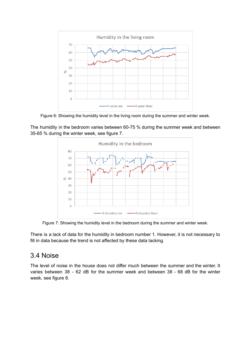

Figure 6: Showing the humidity level in the living room during the summer and winter week.

The humidity in the bedroom varies between 60-75 % during the summer week and between 35-65 % during the winter week, see figure 7.



Figure 7: Showing the humidity level in the bedroom during the summer and winter week.

There is a lack of data for the humidity in bedroom number 1. However, it is not necessary to fill in data because the trend is not affected by these data lacking.

#### <span id="page-6-0"></span>3.4 Noise

The level of noise in the house does not differ much between the summer and the winter. It varies between 38 - 62 dB for the summer week and between 38 - 68 dB for the winter week, see figure 8.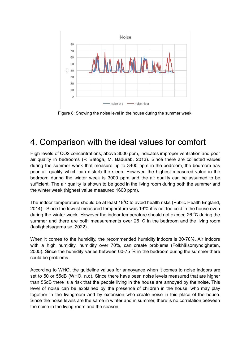

Figure 8: Showing the noise level in the house during the summer week.

### <span id="page-7-0"></span>4. Comparison with the ideal values for comfort

High levels of CO2 concentrations, above 3000 ppm, indicates improper ventilation and poor air quality in bedrooms (P. Batoga, M. Badurab, 2013). Since there are collected values during the summer week that measure up to 3400 ppm in the bedroom, the bedroom has poor air quality which can disturb the sleep. However, the highest measured value in the bedroom during the winter week is 3000 ppm and the air quality can be assumed to be sufficient. The air quality is shown to be good in the living room during both the summer and the winter week (highest value measured 1600 ppm).

The indoor temperature should be at least 18℃ to avoid health risks (Public Health England, 2014) . Since the lowest measured temperature was 19 $\degree$ C it is not too cold in the house even during the winter week. However the indoor temperature should not exceed 26 ℃ during the summer and there are both measurements over 26 °C in the bedroom and the living room (fastighetsagarna.se, 2022).

When it comes to the humidity, the recommended humidity indoors is 30-70%. Air indoors with a high humidity, humidity over 70%, can create problems (Folkhälsomyndigheten, 2005). Since the humidity varies between 60-75 % in the bedroom during the summer there could be problems.

According to WHO, the guideline values for annoyance when it comes to noise indoors are set to 50 or 55dB (WHO, n.d). Since there have been noise levels measured that are higher than 55dB there is a risk that the people living in the house are annoyed by the noise. This level of noise can be explained by the presence of children in the house, who may play together in the livingroom and by extension who create noise in this place of the house. Since the noise levels are the same in winter and in summer, there is no correlation between the noise in the living room and the season.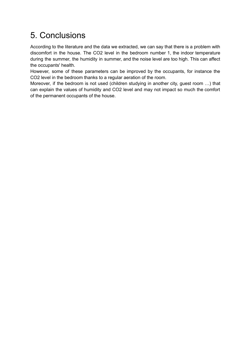## <span id="page-8-0"></span>5. Conclusions

According to the literature and the data we extracted, we can say that there is a problem with discomfort in the house. The CO2 level in the bedroom number 1, the indoor temperature during the summer, the humidity in summer, and the noise level are too high. This can affect the occupants' health.

However, some of these parameters can be improved by the occupants, for instance the CO2 level in the bedroom thanks to a regular aeration of the room.

Moreover, if the bedroom is not used (children studying in another city, guest room …) that can explain the values of humidity and CO2 level and may not impact so much the comfort of the permanent occupants of the house.